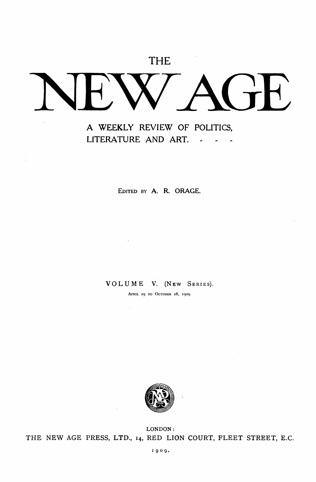## THE

# NEW AGE

### *A* **WEEKLY** REVIEW **OF** POLITICS, **LlTERATURE AND ART.**

**EDITED BY** *A.* **R. ORAGE** 

#### VOLUME V. **(NEW SERIES).**

**APRIL 29 TO OCTOBER** *28,* **1909.** 



**LONDON** : THE NEW **AGE** PRESS, **LTD., 14,** RED **LION COURT,** FLEET STREET, E.C.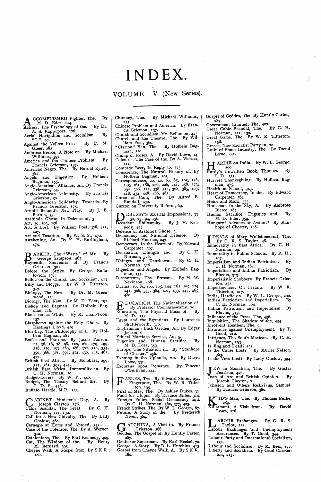# INDEX.

VOLUME V **(New Series).** 

- $By$ A CCOMPLISHED Fighter, The. By M. D. Eder, 114. **By Dr.** Actress, The Psychology of the. By Dr. CCOMPLISHED Fighter, The.
- A. S. Rappoport, **176.**
- Aerial Navigation and Socialism. By "G.", **49.**
- Greer, **282.**  Against the Yellow Press. By P. M.
- Williams, **397.**  Ambrose Bierce, A Note on. By Michael
- America and the Chinese Problem. By Francis Grierson, **137.**  American Negro, The. By Harold Rylett,
- **382.**  Angels and Digestion. By Holbein
- Bagman, **155.**  Anglo-American Alliance, An. By Francis
- Grierson, **93.**  Anglo-American Animosity. By Francis Grierson, **50.**
- Anglo-American Solidarity, Towards. By<br>**Francis Grierson**, 175.
- Barton, **53.**  Arabinda Ghose, In Defence of, **3.**  Arnold Bennett's New Play. By J. E.
- 
- Art, **39, 103, 256.**  Art, A Lost. By William Poel, **378, 41 I,**
- **427.**  Art and Taxation. By W. S. S., **472.**  Awakening, An. By F. H. Burlingham **474.**

**BARKER, The "Waste" of Mr.** By George Sampson, 463.<br>
Bayreuth, Souvenirs of. By Francis

- Grierson, **301**
- Before the Strike. By George Raffa lovich, **138.**
- Belloc on the Church and Socialism, **423.**  Billy and Bloggs. By W. R. Titterton,
- Biology, The New. By Dr. M. Green-**317**  wood, **234.**
- Biology, The New. By **M.** D. Eder, **192.**  Bishop and Bagman. By Holbein Bag-
- man, 116.<br>Black versus White. By M. Chan-Toon,
- Blasphemy against the Holy Ghost. By **157.**  Hastings Lloyd, **429.**
- Blue-bag, The Philosophy of a. By Holbein Bagman, **281.**
- Books and Persons. By Jacob Tonson **12, 36, 56, 78, 98, 120, 160, 179, 199, 218, 239, 253,** *269,* **286, 302, 319, 334, 350, 366, 381, 398, 414, 430, 445, 461,**
- 477.<br>British East Africa. British East Africa. By Mombasa, **299,**
- **327, 361, 392, 424.**  British East Africa, Immorality in. By C. H. Norman, **29.**
- Budget-Lovers. By W. **P., 440.**  Budget, The Theory Behind the. By
- Buffalo Hardie, M.P., **133.**  C. D. S., **446.**
- CABINET Minister's D.<br>Cable Joseph Clayton, 176.<br>Cable Secondal The Creat CABINET Minister's Day, A. By
- Norman, **111, 132.**  Cable Scandal, The Great. By C. H. Call for a New Chivalry, The. By Lady
- Onslow, **460.**  Carnegie at Home and Abroad, **343.**  Case of the Colensos, The. By A. Werner,
- **312.**
- Catalonians, The. By Bart Kennedy, **409.**  Cat, The Wisdom of the. By Henry M. Bernard, **395.**
- Cheyne Walk, A Gospel from. By S.K.R., **180.**
- Chimney, The. By Michael Williams, Chinese Problem and America. By Fran-**115.**
- cis Grierson, **137.**
- Church and Socialism, Mr. Belloc on, **423.**  Church and the Theatre, The. By Wil-
- liam Poel, 360.<br>"Clarion " Van, The. By Holbein Bagman, **250.**
- Clump of Roses, A. By David Lowe, **14.**  Colensos, The Case of the. By A. Werner,
- **312.**  Comrade Beer, In Reply *to,* **173-**  Conscience, The Natural History of. **By**
- Holbein Bagman, **195.**  Correspondence, **20, 40, 62, 85, 105, 126,**
- **145, 165, 186, 206, 226, 241,** *258,* **273, 290, 306, 322, 338, 354, 368, 385, 403,**
- **418, 434, 448, 465, 482.** Curse of Cain, The. By Alfred E. Randall, **430.**
- Curzon on University Reform, **69.**

DEBUSSY'S Musical Impressions, 33, 52, 73, 94, 156.<br>Decadent Philosophy. By J. M. Ken-

- Decadent Philosophy. By J. M. Ken-
- nedy, 477.<br>
Defence of Arabinda Ghose, 3.<br>
Democracy and National Defence. By<br>
Richard Maurice, 247.
- Democracy, In the Heart of. By Edward
- Carpenter, **367.**  Denshawai, Dhingra and. By *C.* H.
- Norman, **326.**  Dhingra and Denshawai. By C. H. Norman, **326.**  Digestion and Angels. By Holbein **Bag-**
- man, **155.**  Discontents, The Present. By **M.** W.
- Nevinson, **408.**
- Drama, **16, 84, 102, 125, 144, 162, 205, 224, 241, 306, 353, 384, 401, 433, 447, 465, 480.**

EDUCATION, The Nationalisation of. By Professor Coomaraswamy, **70.**  Education, The Physical Basis of. By

- Egypt and the Egyptians. By Laurence M. D., **153.**
- Englishman's Back Garden, An. By Edgar Shuttleworth, 376.<br>
Englishman's Back Garden, An. By Edgar Jepson, **6.**
- Ethical Marriage Service, An, *5.*  Eugenics and Human Sacrifice. By
- Europe, The Situation in. By "Stanhope M. D. Eder, **359.**
- Evening in the Uplands, An. By David of Chester," **456.**  Lowe, **331.**
- Excursus upon Romance. By Vincent O'Sullivan, **444.**

FABLES, Two. By Edward Storer, **251.**  Fingerpost, The. By W. **R.** Titterton, **199.** 

First of May, The. By Ashley Dukes, 31.<br>Food for Utopia. By Eustace Miles, 314.<br>Foreign Policy, Social Democracy and.<br>By C. H. Norman, 362, 377, 425.<br>French Strikes, The. By W. L. George, 67.<br>Future, A Story of the. By Fre

Niven, **364.** 

G GATCHINA, **A** Visit **to. By** Francis Grierson, **266.**  Geddes, The Gospel of. By Huntly Carter,

Genius or Superman. By Karl Heckel, **72.**  George : A Story. By B. L. Hutchins, **413.**  Gospel from Cheyne Walk, A. By S.K.R., **287. 180.** 

Gospel of Geddes, The. **By** Huntly Carter, **287.** 

- Government Limited, The, **407.**  Great Cable Scandal, The. By C. **H.**
- Norman, **111, 132.**  Great Game, The. By W. **R.** Titterton,

**158.**  Greece, New Socialist Party in, **70.**  Guilt *of* Sham Industry, The. By David Lowe, **441.** 

**H** ARDIE on India. By W. L. George,

- Hardy's **Unwritten Book, Thomas. By**  I. D., 335.<br>Harvest Thanksgiving. By Holbein Bag-
- man, **475.**
- Health at School, **343.**  Heart of Democracy, In the. By Edward Carpenter, **367.**

- Heine and Marx, **333.**  Horseman in the Sky, A. By Ambrose Bierce, **284.**
- Human Sacrifice, Eugenics and. **By**  Hungary ! Advance or Avaunt? By Stan-**M.** D. Eder, **359.**

hope of Chester, **248.** 

IDEALS of Mary Wollstonecroft, The.<br>
By G. R. S. Taylor, 48.<br>
Immorality in East Africa. By C. H.

- Norman, **29.**
- Immorality in Public Schools. By R. H., Imperialism and Indian Patriotism. By **297.**
- Imperialism and Indian Patriotism. **By**  C. H. Norman, **264.**
- Flavus, **313.**  Imperialistic Snobbery. By Francis Grier-
- son, **232.**  Impertinences, On Certain. By **W.** R.
- Titterton, **217.**  India, Hardie on. By W. L. George, *200*  Indian Patriotism and Imperialism. By
- Indian Patriotism and Imperialism. By C: H. Norman, **264.**  Flavus, **313.**
- Influence of the Press, The, **456.**  Inquisition, The 'Shadow of the, **454.**  Insolvent Heathen, The, *5.*  Insurance against Unemployment. By T.

- 
- Intrigues, The South Mexican. By C. H. Good, **212.**
- Norman, **193.**

**152.** 

ton, **215.** 

- Is England Dead? 231.<br>Is the Cause Lost? By Muriel Nelso
- **Is** the Vote Lost? By Lady Onslow, **394. 363.**

Jew in Socialism, The. By Gustav **J** Pearlson, **426.**  Joan of **Arc** and British Opinion. By

Joseph Clayton, 7.<br>Johnson and Others Redivivus, Samu

By Francis Grierson, **380.**  TID'S Man, The. By Thomas Burke,

**283.**  Killermont, A Visit from. By David Lowe, **216.** 

**L LABOUR** Exchanges. By G. R. S.

Labour Exchanges and Unemployment Labour Party and International Socialism, Assurances. By T. Good, **344.** 

Labour and Socialism. By M. **Beer, 172.**  Liberty and Socialism. By Cecil Chester-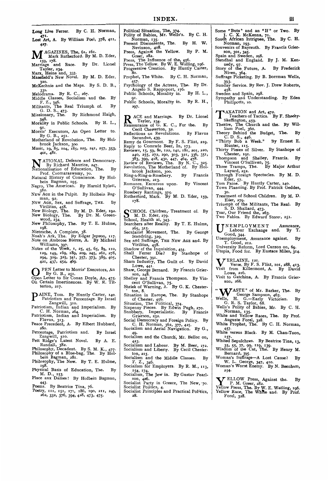Long Live Ferrer. By C. H. Norman, 471. **Lost** *Art,* **A.** By William Poel, **378, 411, 471.** 

**427. M** AGAZINES, The, 61, 161.<br>
Mark Rutherford. By M. D. Eder,

- 
- Marriage and Race. By Dr. Lionel<br>
Tayler, 234. Marx, Heine and, **333.**
- Masefield's New Novel. By M. D. Eder,
- **320.**  McKechnie and the Maps. By S. D. B.,
- **330.**  Melodrama. By R. C., **267.**  Middle Classes. Socialism and the. By F. Z., **346.**
- *G. D. S., 473.*<br> *G. D. S., 473.*<br> *Ex Pu Pichmond Haigh*
- Missionary, The. By Richmond Haigh,
- **348.**  Morality in Public Schools. By H. L., **91**  Morns' Executors, An Open Letter to.
- By G. B., **251.**  Motherland of Revolution, The. By Hol-
- brook Jackson, **300. 401, 481.**  Music, **19, 85, 104, 185, 225, 241, 257, 353,**
- **NATIONAL Defence and Democracy.**<br>By Richard Maurice, 247.<br>Nationalisation of Education. The. By
- Nationalisation of Education, The. By<br>
Prof. Coomaraswamy, 70.<br>
Natural History of Conscience. By Hol-<br>
bein Bagman, 195.
- 
- Negro, The American. By Harold Rylett,  $3^{82}$ .<br>**1992 1994 1995 1996 1997 1997 1998** NEW AGE in the Pulpit. By Holbein Bag-man, **92.**
- NEW AGE, Sex, and Suffrage, THE. By Virilitas, **458.**
- New Biology, The. By **M.** D. Eder, **192.**  New Biology, The. By Dr. M. Green-
- New Philosophy, The. By T. E. Hulme, wood, **234.**
- Nietzsche, A Complete, **38. 198.**
- Voah's Ark, The. By Edgar Jepson, 117. Note on Ambrose Bierce, A. By Michael Williams, **397.**
- Notes of the Week, **I, 25, 45, 65, 89, 110, 129, 149, 169, 189, 209, 245, 261, 278, 294, 309, 325, 341, 357, 373, 389, 405, 421, 437, 454, 469.**
- PEN Letter to Morris' Executors, An 421, 437, 454, 409.<br> **ODER Letter to Mone By G. B., 251.**<br>
Open Letter to Sir Con
- Open Letter to Sir Conan Doyle, An, **475.**  On Certain Impertinences. By W. R. Tit. terton, **217.**
- PAINE, Tom. By Huntly Carter, 140. Patriotism and Percentage. By Israel
- Patriotism, Indian and Imperialism. **By**  Zangwill, **310.**
- Patriotism Indian and Imperialism. By C. H. Norman, **264.**  Flavus, **313.**
- Peace Precedent, A. By Elbert Hubbard,
- Percentage, Patriotism and. By Israel **280.**  Zangwill, **310.**
- Pett Ridge's Latest Novel. By A.E. Randall, **382.**
- Philosophy, Decadent. By S. M. **K., 477.**  Philosophy of a Blue-bag, The. By Holbein Bagman, **281.**  Angwill, 310.<br>
Ridge's Latest Nov<br>
Randall, 382.<br>
soophy, Decadent. B<br>
soophy, Decadent. B<br>
soophy, Decadent. B<br>
soophy, The New. B<br>
g8.<br>
162.<br>
162.<br>
162.<br>
162.<br>
43.<br>
43.<br>
By Beatrice Tina<br>
43.<br>
By Beatrice Tina<br>
43.<br>
By B
- Philosophy, The New. By T. E. Hulme, **198**  Physical Basis of Education, The.
- M. D., 153.<br>Qace aux Dames! By Holbein Bagman,
- 
- Poems. By Beatrice Tina, **76.**  Poetry, **111, 151, 171, 186, 190, 211, 249, 262, 332, 376, 394, 428, 473, 475.**
- Political Situation, The, **374.**  Polity of Babies, Mr. Wells's. By C. H.
- Present Discontents, The. By **H. W.**  Norman, 135.<br>Present Discontents, The. By H. W.
- Press, Against the Yellow. By P. **M.**  Nevinson, **408.**  Greer, **282. 91** .
- Press, The Influence of the, **456.**
- Press, The Yellow. By W. **E.** Walling, **196.**  Progressive Creation. By Huntly Carter,
- Prophet, The White. By C. **H.** Norman, **80.**
- Psychology of the Actress, The. By Dr. **457.**  Angelo S. Rappoport, **176.**
- Public Schools, Morality in. By H. L., pr. community in. By R. H.,<br>Public Schools, Morality in. By R. H.,
- **297.**
- R ACE and Marriage. By Dr. Lione<br>
Tayler, 234.<br>
Reassurance of G K C. For the. By
- Reassurance of G. **K.** C.. For the. By Cecil Chesterton, **32.**  Reflections on Revolutions. By Flavus
- Secundus, **439.**  Remy de Gourmont. By F. S. Flint, **219.**
- Reply to Comrade Beer, In, **173.**  Reviews, **15, 59, 80, 122, 141, 181, 201, 220,** 
	- **240, 255 272, 290 303 321 336 351,**
- **383, 399, 418, 432, 447, 464, 478.** Review of Reviews The. By N. C., **325.**  Revolution, The Motherland of. By Hol-brook Jackson, **300.**  Ring-a-Ring-a-Rosebery. By Francis
- 
- Grierson, **213.**  Romance, Excursus upon. By Vincent O'Sullivan, **444.**
- 
- Rosebery Rantings, 375.<br>Rutherford, Mark. By M. D. Eder, 159, 178.
- M. **D.** Eder, **279.**  CHOOL Children, Treatment of. By
- School, Health at, **343..**  Searchers after Reality. By T. E. Hulme,
- Secularist Movement, The. By George **265, 315.**  Standring, **329.**
- **Sex** and Suffrage, THE NEW AGE and. By Virilitas, **458.**
- Shadow of the Inquisition, **454.**  Shall, Ferrer Die? By Stanhope of
- Sham Industry, The Guilt of. By David Chester, **391.**  Lowe, **441.**
- Shaw, George Bernard. By Francis Grier-Shelley and Francis Thompson. By **Vin**son, **248.**
- cent O'Sullivan, 75.<br>Shriek of Warning, A. By G. K. Chester-
- Situation in Europe, The. By Stanhope ton, **8.**  of Chester, **456.**
- Situation, The Political, **374.**
- Sixpenny Pisces. By Edwin Pugh, **270.**  Snobbery, Imperialistic. By Francis
- Social Democracy and Foreign Policy. By Grierson, **232.**
- Socialism and Aerial Navigation. By G., C. H. Norman, **362, 377, 425.**
- Socialism and the Church; Mr. Belloc on, **49: 423.**
- Socialism and Labour. By **M.** Beer, **172.**  Socialism and Liberty. By Cecil Chesterton, **215.**
- Socialism and the Middle Classes. By
- F. Z., 346.<br>
Socialism for Employers. By R. M., 113,
- 154, 174.<br>Socialism, The Jew in. By Gustav Pearl-
- Socialist Party in Greece, The New, **70.**  son, **426.**  Socialist Politics, **4.**
- Socialist Principles and Practical Politics, **28.**

Some "Buts" and an "If" or Two. By **J. C. X. McKenna, 71.**<br>
South African Intrigues, The. By C. H.<br>
Norman 103.

iii

- Norman, 193.<br>Souvenirs of Bayreuth. By Francis Grier.
- son, **301, 345.**  Spain and Sweden, **298,**  Stendhal and England. By J. M. Ken-
- nedy, 97.<br>
Story of the Future, A. By Frederick<br>
Niven, 364.
- Suffrage Picketing. By B. Borrman Wells,
- **393.**  Sunday Service. By Rev. J. Drew Roberts, **458.**  Sweden and Spain, **298.**
- Sympathy and Understanding. By Eden Phillpotts, IO.

AXATION and Art, 472.

- Skeffington, **459.**  TAXATION and Art, 472.<br>Teachers of Tactics. By F. Sheehy-<br>Skeffington, 450.
- liam Poel, **360.**  Theatre, The Church and the. By Wil-
- C. D. S., **446.**  Theory Behind the Budget, The. By "Thirty Bob a Week." By Ernest E.
- Hunter, **I I** *5.*  Thirty Pieces of Silver. By Stanhope of
- Chester, **191.**  Vincent O'Sullivan, **75.**  Thompson and Shelley, Francis. By
- Three Tramps, The. By Major Arthur Layard, **252.**
- Through Foreign Spectacles. By M. D. Eder, **57.**  Tom Paine. By Huntly Carter, **140.**
- Town Planning. By Prof. Patrick Geddes,
- Treatment **30.** of School Children. By M. D. Eder, **279.**
- Friumph of the Militants, The Real. By<br>
S. D. Shallard, 473.
- Tsar, Our Friend the, **263.**  Two Fables. **By** Edward Storer, **251.**
- UNEMPLOYMENT Assurance, Labour Exchange and. By T. Good, **344.**
- Unemployment, Assurance against. By T. Good, **212.**
- University Reform, Lord Curzon on, *69.*  Utopia, Food for. By Eustace Miles, **314.**
- - VERLAINE, **121.**

Norman, **135.**  Auguste Forel, **328.** 

Bernard, **395.** 

**254-** 

son, **266.** 

Verse. By F. S. Flint, **101, 288, 413.**  Visit from Killermont, **A.** By David Lowe, 216.<br>Visit to Gatchina, A. By Francis Grier-

"WASTE" of Mr. Barker, The. By Wells, H. G.--Early Victorian. By G. R. S. Taylor, 68.<br>Wells's Polity of Babies, Mr. By C. H. White and Yellow Races, The. By Prof. White Prophet, The. By C. H. Norman,

White **457.** versus Black. By **M.** Chan-Toon, <sup>157</sup>. Whited Sepulchres. By Beatrice Tina, 13, **35,** *55,* **77, 99, 119, 139.**  Wisdom of the Cat, The By Henry **M.**  Woman's Suffrage--A **Lost** Cause? By Woman's Worst Enemy. By **N.** Beenham,

YELLOW Press, Against the. By P. M. Greer, **282.** 

Yellow Press, The. By W. E. Watling, **196.**  Yellow Race, The White and. By Prof. Forel, **328.** 

W. L. George, **347, 410.**